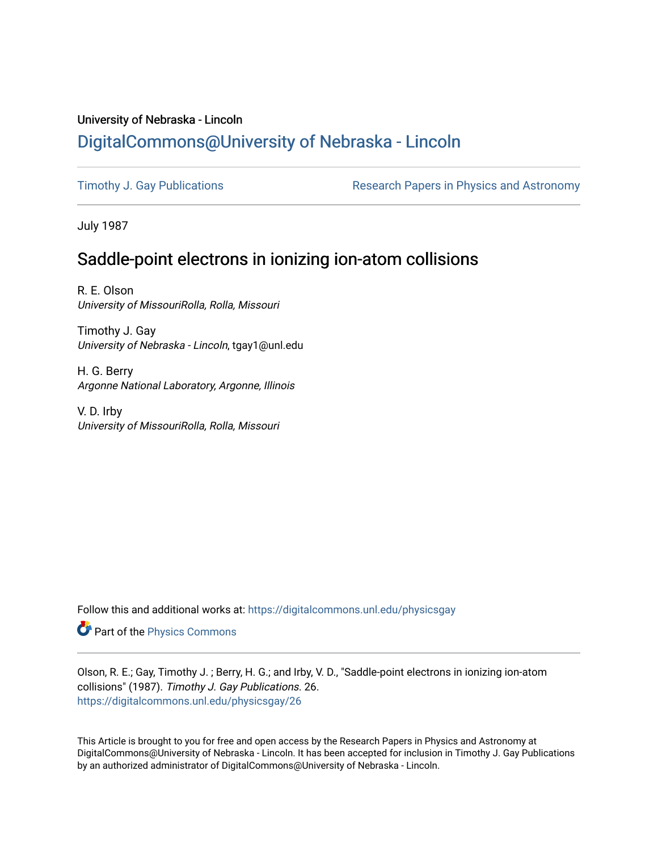# University of Nebraska - Lincoln [DigitalCommons@University of Nebraska - Lincoln](https://digitalcommons.unl.edu/)

[Timothy J. Gay Publications](https://digitalcommons.unl.edu/physicsgay) **Research Papers in Physics and Astronomy** 

July 1987

## Saddle-point electrons in ionizing ion-atom collisions

R. E. Olson University of MissouriRolla, Rolla, Missouri

Timothy J. Gay University of Nebraska - Lincoln, tgay1@unl.edu

H. G. Berry Argonne National Laboratory, Argonne, Illinois

V. D. Irby University of MissouriRolla, Rolla, Missouri

Follow this and additional works at: [https://digitalcommons.unl.edu/physicsgay](https://digitalcommons.unl.edu/physicsgay?utm_source=digitalcommons.unl.edu%2Fphysicsgay%2F26&utm_medium=PDF&utm_campaign=PDFCoverPages)

Part of the [Physics Commons](http://network.bepress.com/hgg/discipline/193?utm_source=digitalcommons.unl.edu%2Fphysicsgay%2F26&utm_medium=PDF&utm_campaign=PDFCoverPages)

Olson, R. E.; Gay, Timothy J. ; Berry, H. G.; and Irby, V. D., "Saddle-point electrons in ionizing ion-atom collisions" (1987). Timothy J. Gay Publications. 26. [https://digitalcommons.unl.edu/physicsgay/26](https://digitalcommons.unl.edu/physicsgay/26?utm_source=digitalcommons.unl.edu%2Fphysicsgay%2F26&utm_medium=PDF&utm_campaign=PDFCoverPages) 

This Article is brought to you for free and open access by the Research Papers in Physics and Astronomy at DigitalCommons@University of Nebraska - Lincoln. It has been accepted for inclusion in Timothy J. Gay Publications by an authorized administrator of DigitalCommons@University of Nebraska - Lincoln.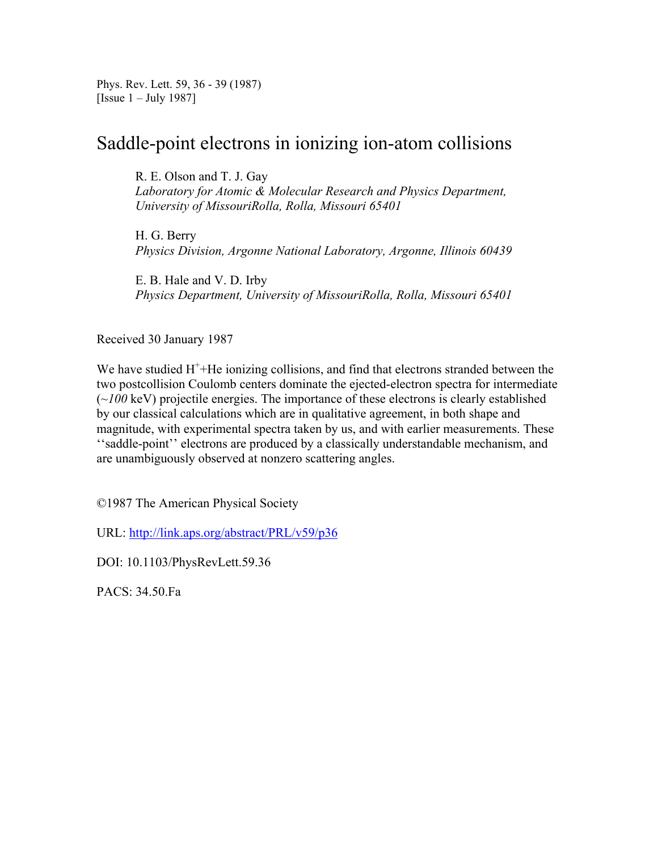Phys. Rev. Lett. 59, 36 - 39 (1987) [Issue 1 – July 1987]

### Saddle-point electrons in ionizing ion-atom collisions

R. E. Olson and T. J. Gay

*Laboratory for Atomic & Molecular Research and Physics Department, University of MissouriRolla, Rolla, Missouri 65401* 

H. G. Berry *Physics Division, Argonne National Laboratory, Argonne, Illinois 60439* 

E. B. Hale and V. D. Irby *Physics Department, University of MissouriRolla, Rolla, Missouri 65401* 

Received 30 January 1987

We have studied  $H^+$ +He ionizing collisions, and find that electrons stranded between the two postcollision Coulomb centers dominate the ejected-electron spectra for intermediate (*~100* keV) projectile energies. The importance of these electrons is clearly established by our classical calculations which are in qualitative agreement, in both shape and magnitude, with experimental spectra taken by us, and with earlier measurements. These ''saddle-point'' electrons are produced by a classically understandable mechanism, and are unambiguously observed at nonzero scattering angles.

©1987 The American Physical Society

URL: http://link.aps.org/abstract/PRL/v59/p36

DOI: 10.1103/PhysRevLett.59.36

PACS: 34.50.Fa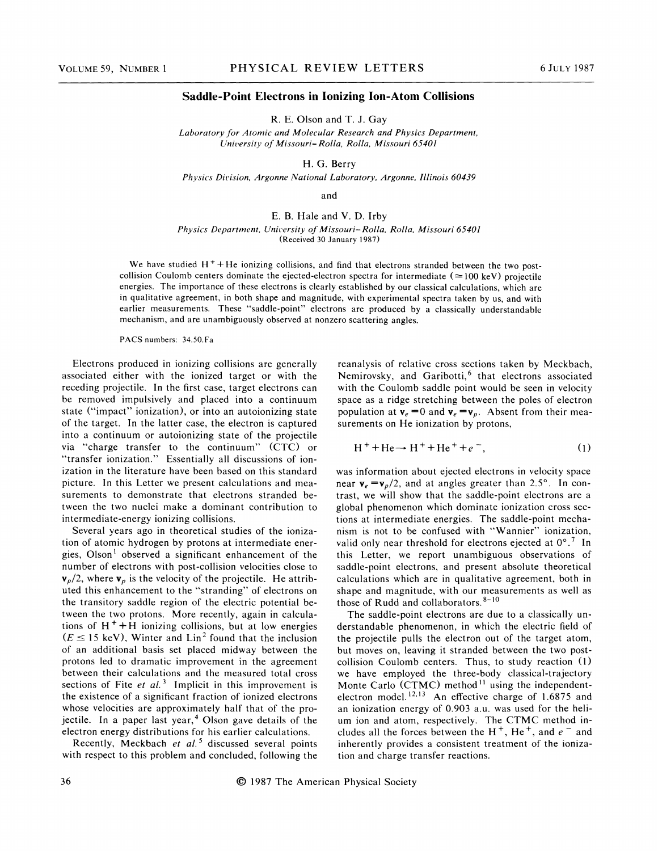#### **Saddle-Point Electrons in Ionizing Ion-Atom Collisions**

R. E. Olson and T. J. Gay

Laboratory for Atomic and Molecular Research and Physics Department, *Cniversity of Missouri- Rolla, Rolla, Missouri 65401* 

H. G. Berry

Physics Division, Argonne National Laboratory, Argonne, Illinois 60439

and

#### E. B. Hale and V. D. Irby

*Physics Department, University of Missouri- Rolla, Rolla, Missouri 65401* (Received *30* January 1987)

We have studied  $H^+$  + He ionizing collisions, and find that electrons stranded between the two postcollision Coulomb centers dominate the ejected-electron spectra for intermediate ( $\approx$  100 keV) projectile energies. The importance of these electrons is clearly established by our classical calculations, which are in qualitative agreement, in both shape and magnitude, with experimental spectra taken by us, and with earlier measurements. These "saddle-point" electrons are produced by a classically understandable mechanism, and are unambiguously observed at nonzero scattering angles.

**PACS** numbers: 34.50.Fa

Electrons produced in ionizing collisions are generally associated either with the ionized target or with the receding projectile. In the first case, target electrons can be removed impulsively and placed into a continuum state ("impact" ionization), or into an autoionizing state of the target. In the latter case, the electron is captured into a continuum or autoionizing state of the projectile via "charge transfer to the continuum" (CTC) or "transfer ionization." Essentially all discussions of ionization in the literature have been based on this standard picture. In this Letter we present calculations and measurements to demonstrate that electrons stranded between the two nuclei make a dominant contribution to intermediate-energy ionizing collisions.

Several years ago in theoretical studies of the ionization of atomic hydrogen by protons at intermediate energies. Olson' observed a significant enhancement of the number of electrons with post-collision velocities close to  $\mathbf{v}_p/2$ , where  $\mathbf{v}_p$  is the velocity of the projectile. He attributed this enhancement to the "stranding" of electrons on the transitory saddle region of the electric potential between the two protons. More recently, again in calculations of  $H^+$  + H ionizing collisions, but at low energies  $\mu_p/2$ , where  $\mathbf{v}_p$  is the velocity of the projectile. He attributed this enhancement to the "stranding" of electrons on the transitory saddle region of the electric potential beween the two protons. More recently, a of an additional basis set placed midway between the protons led to dramatic improvement in the agreement between their calculations and the measured total cross sections of Fite *et al.*<sup>3</sup> Implicit in this improvement is the existence of a significant fraction of ionized electrons whose velocities are approximately half that of the projectile. In a paper last year,<sup>4</sup> Olson gave details of the electron energy distributions for his earlier calculations.

Recently, Meckbach *et al.*<sup>5</sup> discussed several points with respect to this problem and concluded, following the reanalysis of relative cross sections taken by Meckbach, Nemirovsky, and Garibotti, $6$  that electrons associated with the Coulomb saddle point would be seen in velocity space as a ridge stretching between the poles of electron population at  $\mathbf{v}_e = 0$  and  $\mathbf{v}_e = \mathbf{v}_p$ . Absent from their measurements on He ionization by protons,

$$
H^+ + He \rightarrow H^+ + He^+ + e^-, \tag{1}
$$

was information about ejected electrons in velocity space near  $\mathbf{v}_e = \mathbf{v}_p/2$ , and at angles greater than 2.5°. In contrast, we will show that the saddle-point electrons are a global phenomenon which dominate ionization cross sections at intermediate energies. The saddle-point mechanism is not to be confused with "Wannier" ionization, valid only near threshold for electrons ejected at  $0^{\circ}$ .<sup>7</sup> In this Letter, we report unambiguous observations of saddle-point electrons, and present absolute theoretical calculations which are in qualitative agreement, both in shape and magnitude, with our measurements as well as those of Rudd and collaborators. <sup>8-10</sup>

The saddle-point electrons are due to a classically understandable phenomenon, in which the electric field of the projectile pulls the electron out of the target atom, but moves on, leaving it stranded between the two postcollision Coulomb centers. Thus, to study reaction **(1)**  we have employed the three-body classical-trajectory Monte Carlo (CTMC) method<sup>11</sup> using the independentelectron model.<sup>12,13</sup> An effective charge of 1.6875 and an ionization energy of 0.903 a.u. was used for the helium ion and atom, respectively. The CTMC method includes all the forces between the H<sup>+</sup>, He<sup>+</sup>, and  $e^-$  and inherently provides a consistent treatment of the ionization and charge transfer reactions.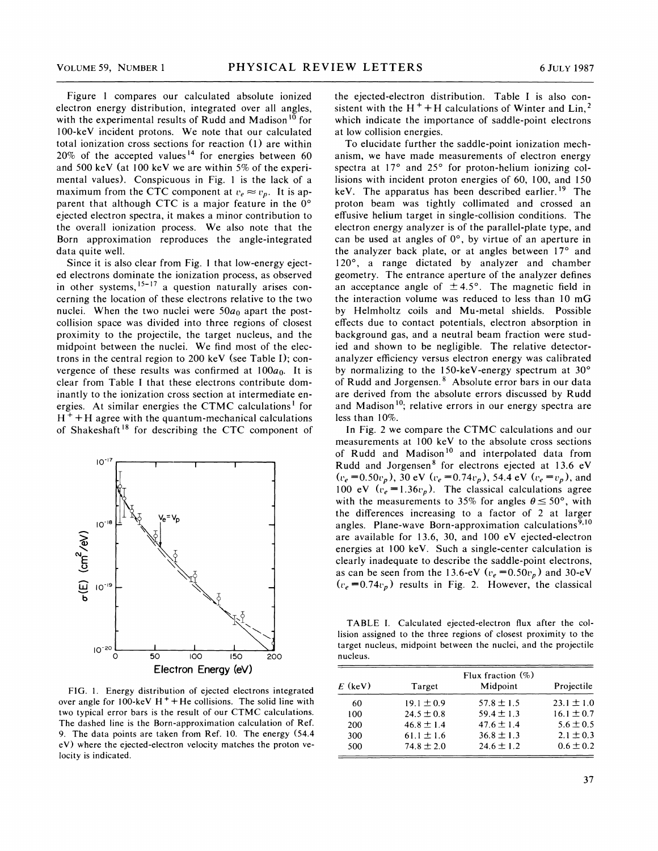Figure 1 compares our calculated absolute ionized electron energy distribution, integrated over all angles, with the experimental results of Rudd and Madison<sup>10</sup> for 100-keV incident protons. We note that our calculated total ionization cross sections for reaction (1) are within  $20\%$  of the accepted values<sup>14</sup> for energies between 60 and 500 keV (at I00 keV we are within 5% of the experimental values). Conspicuous in Fig. 1 is the lack of a maximum from the CTC component at  $v_e \approx v_p$ . It is apparent that although CTC is a major feature in the  $0^{\circ}$ ejected electron spectra, it makes a minor contribution to the overall ionization process. We also note that the Born approximation reproduces the angle-integrated data quite well.

Since it is also clear from Fig. 1 that low-energy ejected electrons dominate the ionization process, as observed in other systems,  $15-17$  a question naturally arises concerning the location of these electrons relative to the two nuclei. When the two nuclei were  $50a_0$  apart the postcollision space was divided into three regions of closest proximity to the projectile, the target nucleus, and the midpoint between the nuclei. We find most of the electrons in the central region to 200 keV (see Table I); convergence of these results was confirmed at  $100a_0$ . It is clear from Table I that these electrons contribute dominantly to the ionization cross section at intermediate energies. At similar energies the CTMC calculations<sup>1</sup> for  $H<sup>+</sup> + H$  agree with the quantum-mechanical calculations of Shakeshaft<sup>18</sup> for describing the CTC component of



FIG. 1. Energy distribution of ejected electrons integrated over angle for 100-keV  $H^+$  + He collisions. The solid line with two typical error bars is the result of our CTMC calculations. The dashed line is the Born-approximation calculation of Ref. 9. The data points are taken from Ref. 10. The energy (54.4 eV) where the ejected-electron velocity matches the proton velocity is indicated.

the ejected-electron distribution. Table I is also consistent with the H<sup>+</sup> + H calculations of Winter and Lin,<sup>2</sup> which indicate the importance of saddle-point electrons at low collision energies.<br>To elucidate further the saddle-point ionization mech-

anism, we have made measurements of electron energy spectra at  $17^{\circ}$  and  $25^{\circ}$  for proton-helium ionizing collisions with incident proton energies of 60, 100, and 150 keV. The apparatus has been described earlier.<sup>19</sup> The proton beam was tightly collimated and crossed an effusive helium target in single-collision conditions. The electron energy analyzer is of the parallel-plate type, and can be used at angles of 0°, by virtue of an aperture in the analyzer back plate, or at angles between  $17^{\circ}$  and 120°, a range dictated by analyzer and chamber geometry. The entrance aperture of the analyzer defines an acceptance angle of  $\pm 4.5^{\circ}$ . The magnetic field in the interaction volume was reduced to less than 10 mG by Helmholtz coils and Mu-metal shields. Possible effects due to contact potentials, electron absorption in background gas, and a neutral beam fraction were studied and shown to be negligible. The relative detectoranalyzer efficiency versus electron energy was calibrated by normalizing to the 150-keV-energy spectrum at  $30^{\circ}$ of Rudd and Jorgensen.<sup>8</sup> Absolute error bars in our data are derived from the absolute errors discussed by Rudd and Madison<sup>10</sup>; relative errors in our energy spectra are less than 10%.

In Fig. 2 we compare the CTMC calculations and our measurements at 100 keV to the absolute cross sections of Rudd and Madison<sup>10</sup> and interpolated data from Rudd and Jorgensen<sup>8</sup> for electrons ejected at 13.6 eV  $(v_e = 0.50v_p)$ , 30 eV  $(v_e = 0.74v_p)$ , 54.4 eV  $(v_e = v_p)$ , and 100 eV  $(v_e = 1.36v_p)$ . The classical calculations agree with the measurements to 35% for angles  $\theta \le 50^{\circ}$ , with the differences increasing to a factor of 2 at larger angles. Plane-wave Born-approximation calculations<sup>9,10</sup> are available for 13.6, 30, and 100 eV ejected-electron energies at 100 keV. Such a single-center calculation is clearly inadequate to describe the saddle-point electrons, as can be seen from the 13.6-eV  $(v_e = 0.50v_p)$  and 30-eV  $(v_e = 0.74v_p)$  results in Fig. 2. However, the classical

TABLE I. Calculated ejected-electron flux after the collision assigned to the three regions of closest proximity to the target nucleus, midpoint between the nuclei, and the projectile nucleus.

| $E$ (keV) | Target         | Flux fraction $(\%)$<br>Midpoint | Projectile     |
|-----------|----------------|----------------------------------|----------------|
| 60        | $19.1 \pm 0.9$ | $57.8 \pm 1.5$                   | $23.1 \pm 1.0$ |
| 100       | $24.5 \pm 0.8$ | $59.4 \pm 1.3$                   | $16.1 \pm 0.7$ |
| 200       | $46.8 \pm 1.4$ | $47.6 \pm 1.4$                   | $5.6 \pm 0.5$  |
| 300       | $61.1 \pm 1.6$ | $36.8 \pm 1.3$                   | $2.1 \pm 0.3$  |
| 500       | $74.8 \pm 2.0$ | $24.6 \pm 1.2$                   | $0.6 \pm 0.2$  |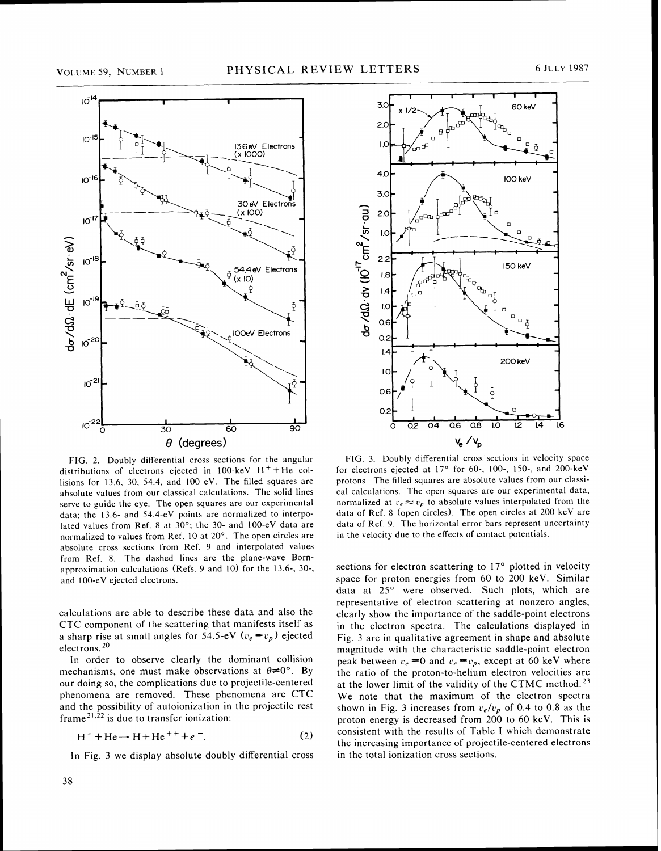

FIG. 2. Doubly differential cross sections for the angular distributions of electrons ejected in 100-keV  $H^+$ +He collisions for 13.6. 30, 54.4, and 100 eV. The filled squares are absolute values from our classical calculations. The solid lines serve to guide the eye. The open squares are our experimental data; the 13.6- and 54.4-eV points are normalized to interpolated values from Ref. 8 at 30°; the 30- and 100-eV data are normalized to values from Ref. 10 at 20". The open circles are absolute cross sections from Ref. 9 and interpolated values from Ref. 8. The dashed lines are the plane-wave Bornapproximation calculations (Refs. 9 and 10) for the 13.6-, 30-, and 100-eV ejected electrons.

calculations are able to describe these data and also the CTC component of the scattering that manifests itself as a sharp rise at small angles for 54.5-eV  $(v_e = v_p)$  ejected electrons. *20* 

In order to observe clearly the dominant collision mechanisms, one must make observations at  $\theta \neq 0^{\circ}$ . By our doing so, the complications due to projectile-centered phenomena are removed. These phenomena are CTC and the possibility of autoionization in the projectile rest frame<sup>21,22</sup> is due to transfer ionization:

$$
H^+ + He \rightarrow H + He^{++} + e^-.
$$
 (2)

In Fig. 3 we display absolute doubly differential cross



FIG. 3. Doubly differential cross sections in velocity space for electrons ejected at  $17^\circ$  for 60-, 100-, 150-, and 200-keV protons. The filled squares are absolute values from our classical calculations. The open squares are our experimental data, normalized at  $v_e \approx v_p$  to absolute values interpolated from the data of Ref. 8 (open circles). The open circles at 200 keV are data of Ref. 9. The horizontal error bars represent uncertainty in the velocity due to the effects of contact potentials.

sections for electron scattering to  $17<sup>o</sup>$  plotted in velocity space for proton energies from 60 to 200 keV. Similar data at 25° were observed. Such plots, which are representative of electron scattering at nonzero angles, clearly show the importance of the saddle-point electrons in the electron spectra. The calculations displayed in Fig. 3 are in qualitative agreement in shape and absolute magnitude with the characteristic saddle-point electron peak between  $v_e = 0$  and  $v_e = v_p$ , except at 60 keV where the ratio of the proton-to-helium electron velocities are at the lower limit of the validity of the CTMC method.<sup>23</sup> We note that the maximum of the electron spectra shown in Fig. 3 increases from  $v_e/v_p$  of 0.4 to 0.8 as the proton energy is decreased from 200 to 60 keV. This is consistent with the results of Table I which demonstrate the increasing importance of projectile-centered electrons in the total ionization cross sections.